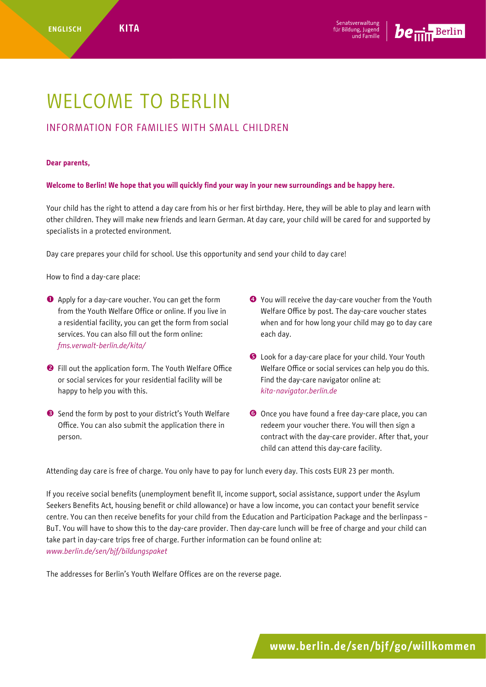

## WELCOME TO BERLIN

## INFORMATION FOR FAMILIES WITH SMALL CHILDREN

## **Dear parents,**

**Welcome to Berlin! We hope that you will quickly find your way in your new surroundings and be happy here.**

Your child has the right to attend a day care from his or her first birthday. Here, they will be able to play and learn with other children. They will make new friends and learn German. At day care, your child will be cared for and supported by specialists in a protected environment.

Day care prepares your child for school. Use this opportunity and send your child to day care!

How to find a day-care place:

- Apply for a day-care voucher. You can get the form from the Youth Welfare Office or online. If you live in a residential facility, you can get the form from social services. You can also fill out the form online: *[fms.verwalt-berlin.de/kita](http://fms.verwalt-berlin.de/kita)/*
- **O** Fill out the application form. The Youth Welfare Office or social services for your residential facility will be happy to help you with this.
- Send the form by post to your district's Youth Welfare Office. You can also submit the application there in person.
- You will receive the day-care voucher from the Youth Welfare Office by post. The day-care voucher states when and for how long your child may go to day care each day.
- **O** Look for a day-care place for your child. Your Youth Welfare Office or social services can help you do this. Find the day-care navigator online at: *[kita-navigator.berlin.de](http://kita-navigator.berlin.de)*
- Once you have found a free day-care place, you can redeem your voucher there. You will then sign a contract with the day-care provider. After that, your child can attend this day-care facility.

Attending day care is free of charge. You only have to pay for lunch every day. This costs EUR 23 per month.

If you receive social benefits (unemployment benefit II, income support, social assistance, support under the Asylum Seekers Benefits Act, housing benefit or child allowance) or have a low income, you can contact your benefit service centre. You can then receive benefits for your child from the Education and Participation Package and the berlinpass – BuT. You will have to show this to the day-care provider. Then day-care lunch will be free of charge and your child can take part in day-care trips free of charge. Further information can be found online at: *www.berlin.de/sen/bjf/bildungspaket*

The addresses for Berlin's Youth Welfare Offices are on the reverse page.